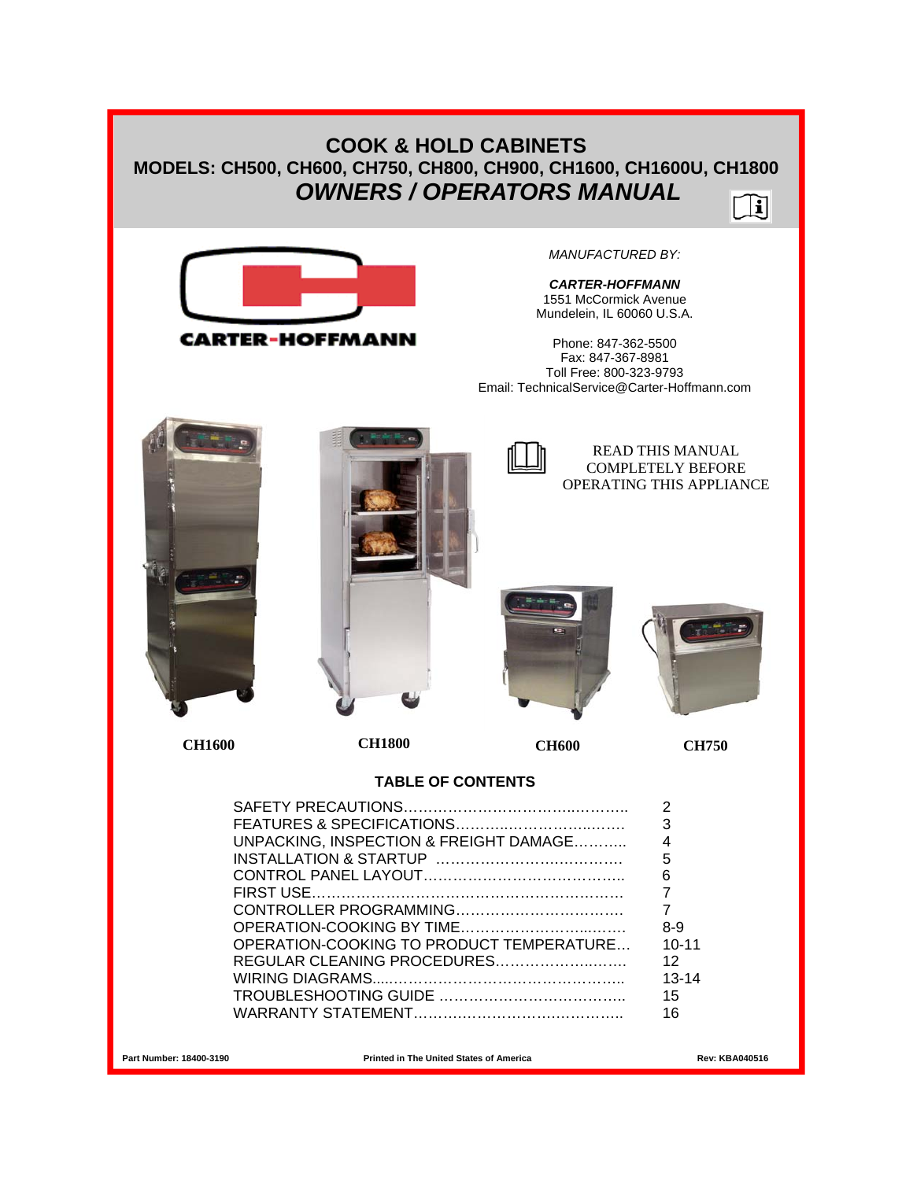## **COOK & HOLD CABINETS MODELS: CH500, CH600, CH750, CH800, CH900, CH1600, CH1600U, CH1800**  *OWNERS / OPERATORS MANUAL*  $\Box$ il



*MANUFACTURED BY:* 

*CARTER-HOFFMANN*  1551 McCormick Avenue Mundelein, IL 60060 U.S.A.

Phone: 847-362-5500 Fax: 847-367-8981 Toll Free: 800-323-9793 Email: TechnicalService@Carter-Hoffmann.com

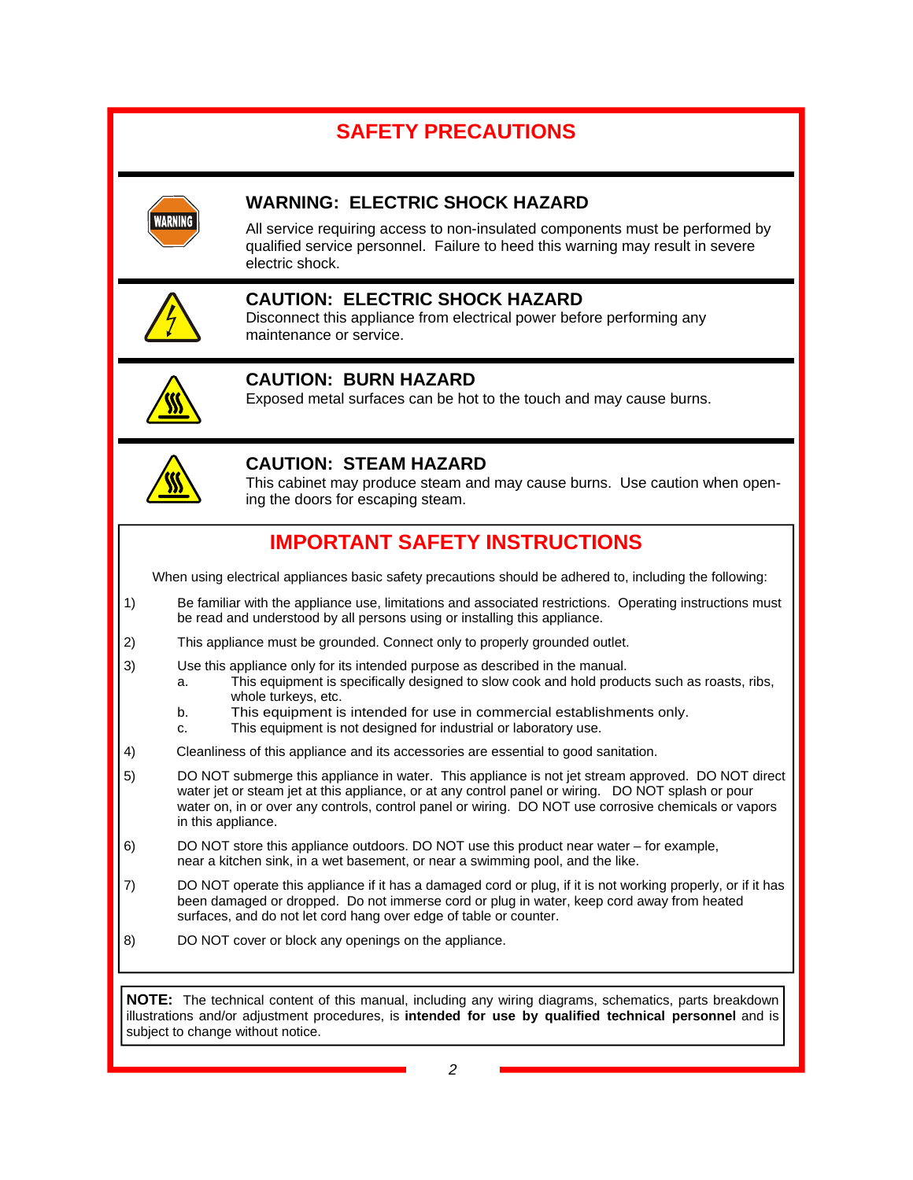# **SAFETY PRECAUTIONS**



## **WARNING: ELECTRIC SHOCK HAZARD**

All service requiring access to non-insulated components must be performed by qualified service personnel. Failure to heed this warning may result in severe electric shock.



## **CAUTION: ELECTRIC SHOCK HAZARD**

Disconnect this appliance from electrical power before performing any maintenance or service.



## **CAUTION: BURN HAZARD**

Exposed metal surfaces can be hot to the touch and may cause burns.



## **CAUTION: STEAM HAZARD**

This cabinet may produce steam and may cause burns. Use caution when opening the doors for escaping steam.

# **IMPORTANT SAFETY INSTRUCTIONS**

When using electrical appliances basic safety precautions should be adhered to, including the following:

- 1) Be familiar with the appliance use, limitations and associated restrictions. Operating instructions must be read and understood by all persons using or installing this appliance.
- 2) This appliance must be grounded. Connect only to properly grounded outlet.
- 3) Use this appliance only for its intended purpose as described in the manual.
	- a. This equipment is specifically designed to slow cook and hold products such as roasts, ribs, whole turkeys, etc.
	- b. This equipment is intended for use in commercial establishments only.
	- c. This equipment is not designed for industrial or laboratory use.
- 4) Cleanliness of this appliance and its accessories are essential to good sanitation.
- 5) DO NOT submerge this appliance in water. This appliance is not jet stream approved. DO NOT direct water jet or steam jet at this appliance, or at any control panel or wiring. DO NOT splash or pour water on, in or over any controls, control panel or wiring. DO NOT use corrosive chemicals or vapors in this appliance.
- 6) DO NOT store this appliance outdoors. DO NOT use this product near water for example, near a kitchen sink, in a wet basement, or near a swimming pool, and the like.
- 7) DO NOT operate this appliance if it has a damaged cord or plug, if it is not working properly, or if it has been damaged or dropped. Do not immerse cord or plug in water, keep cord away from heated surfaces, and do not let cord hang over edge of table or counter.
- 8) DO NOT cover or block any openings on the appliance.

**NOTE:** The technical content of this manual, including any wiring diagrams, schematics, parts breakdown illustrations and/or adjustment procedures, is **intended for use by qualified technical personnel** and is subject to change without notice.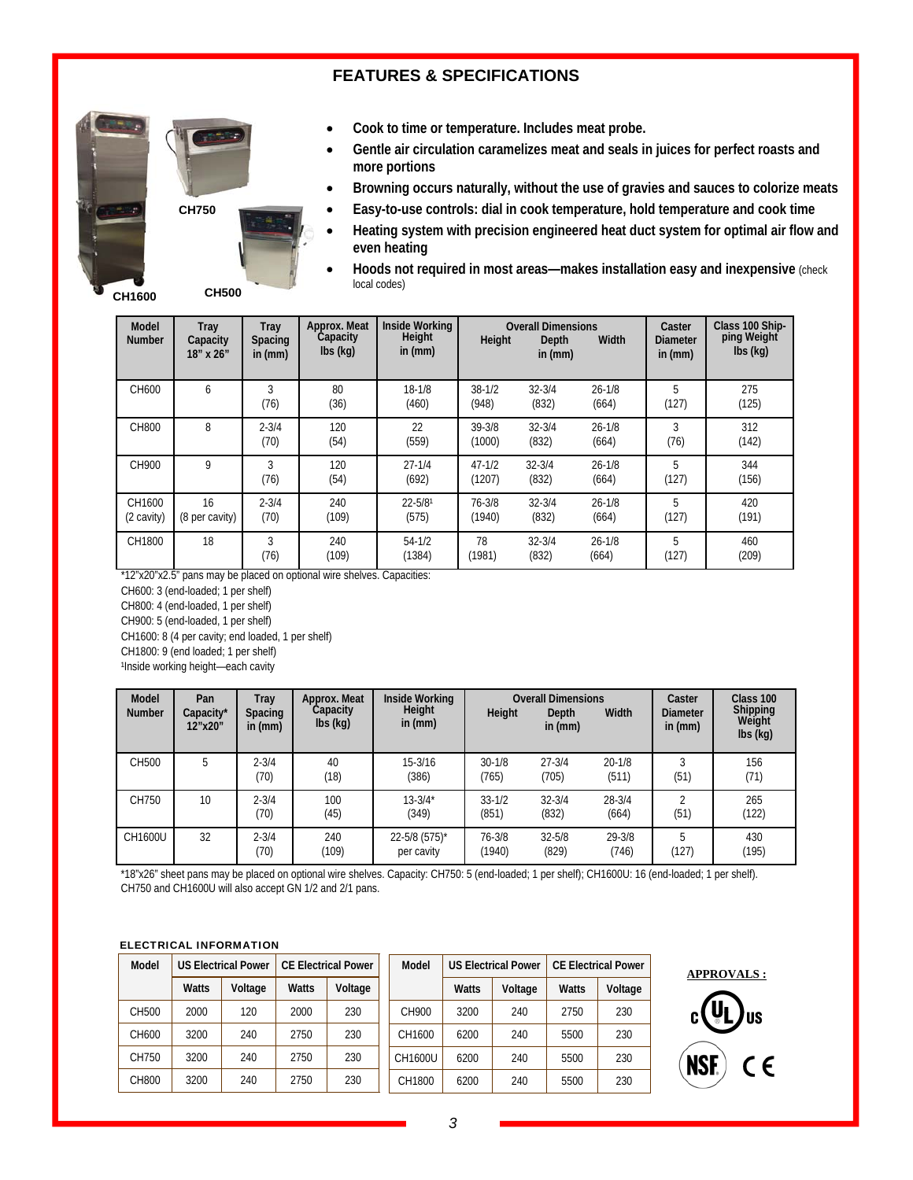## **FEATURES & SPECIFICATIONS**



- **Cook to time or temperature. Includes meat probe.**
- **Gentle air circulation caramelizes meat and seals in juices for perfect roasts and more portions**
- **Browning occurs naturally, without the use of gravies and sauces to colorize meats**
- **Easy-to-use controls: dial in cook temperature, hold temperature and cook time**
- **Heating system with precision engineered heat duct system for optimal air flow and even heating**

**CH1600** 

 **Hoods not required in most areas—makes installation easy and inexpensive** (check local codes)

| <b>Model</b><br><b>Number</b> | Tray<br>Capacity<br>18" x 26" | Tray<br><b>Spacing</b><br>in $(mm)$ | Approx. Meat<br>Capacity<br>$\mathsf{lbs}(\mathsf{kq})$ | Inside Working<br>Height<br>in $(mm)$ | Height               | <b>Overall Dimensions</b><br>Depth<br>in $(mm)$ | Width               | Caster<br><b>Diameter</b><br>in $(mm)$ | Class 100 Ship-<br>ping Weight<br>$\mathsf{lbs}(\mathsf{kq})$ |
|-------------------------------|-------------------------------|-------------------------------------|---------------------------------------------------------|---------------------------------------|----------------------|-------------------------------------------------|---------------------|----------------------------------------|---------------------------------------------------------------|
| CH600                         | 6                             | 3<br>(76)                           | 80<br>(36)                                              | $18 - 1/8$<br>(460)                   | $38 - 1/2$<br>(948)  | $32 - 3/4$<br>(832)                             | $26 - 1/8$<br>(664) | 5<br>(127)                             | 275<br>(125)                                                  |
| CH800                         | 8                             | $2 - 3/4$<br>(70)                   | 120<br>(54)                                             | 22<br>(559)                           | 39-3/8<br>(1000)     | $32 - 3/4$<br>(832)                             | $26 - 1/8$<br>(664) | 3<br>(76)                              | 312<br>(142)                                                  |
| CH900                         | 9                             | 3<br>(76)                           | 120<br>(54)                                             | $27 - 1/4$<br>(692)                   | $47 - 1/2$<br>(1207) | $32 - 3/4$<br>(832)                             | $26 - 1/8$<br>(664) | 5<br>(127)                             | 344<br>(156)                                                  |
| CH1600<br>(2 cavity)          | 16<br>(8 per cavity)          | $2 - 3/4$<br>(70)                   | 240<br>(109)                                            | $22 - 5/8$ <sup>1</sup><br>(575)      | 76-3/8<br>(1940)     | $32 - 3/4$<br>(832)                             | $26 - 1/8$<br>(664) | 5<br>(127)                             | 420<br>(191)                                                  |
| CH1800                        | 18                            | 3<br>(76)                           | 240<br>(109)                                            | $54 - 1/2$<br>(1384)                  | 78<br>(1981)         | $32 - 3/4$<br>(832)                             | $26 - 1/8$<br>(664) | 5<br>(127)                             | 460<br>(209)                                                  |

\*12"x20"x2.5" pans may be placed on optional wire shelves. Capacities:

CH600: 3 (end-loaded; 1 per shelf)

CH800: 4 (end-loaded, 1 per shelf)

CH900: 5 (end-loaded, 1 per shelf)

CH1600: 8 (4 per cavity; end loaded, 1 per shelf)

CH1800: 9 (end loaded; 1 per shelf)

1Inside working height-each cavity

| <b>Model</b><br><b>Number</b> | Pan<br>Capacity*<br>12"x20" | Tray<br><b>Spacing</b><br>in $(mm)$ | Approx. Meat<br>Capacity<br>$\mathsf{lbs}(\mathsf{kq})$ | Inside Working<br>Height<br>in $(mm)$ | Height               | <b>Overall Dimensions</b><br>Depth<br>in $(mm)$ | Width               | Caster<br><b>Diameter</b><br>in $(mm)$ | Class 100<br>Shipping<br><b>Weight</b><br>$\mathsf{lbs}(\mathsf{kq})$ |
|-------------------------------|-----------------------------|-------------------------------------|---------------------------------------------------------|---------------------------------------|----------------------|-------------------------------------------------|---------------------|----------------------------------------|-----------------------------------------------------------------------|
| CH500                         | b                           | $2 - 3/4$<br>(70)                   | 40<br>(18)                                              | 15-3/16<br>(386)                      | $30 - 1/8$<br>(765)  | $27 - 3/4$<br>(705)                             | $20 - 1/8$<br>(511) | h<br>(51)                              | 156<br>(71)                                                           |
| CH750                         | 10                          | $2 - 3/4$<br>(70)                   | 100<br>(45)                                             | $13 - 3/4*$<br>(349)                  | $33 - 1/2$<br>(851)  | $32 - 3/4$<br>(832)                             | $28 - 3/4$<br>(664) | (51)                                   | 265<br>(122)                                                          |
| CH1600U                       | 32                          | $2 - 3/4$<br>(70)                   | 240<br>(109)                                            | 22-5/8 (575)*<br>per cavity           | $76 - 3/8$<br>(1940) | $32 - 5/8$<br>(829)                             | 29-3/8<br>(746)     | 5<br>(127)                             | 430<br>(195)                                                          |

\*18"x26" sheet pans may be placed on optional wire shelves. Capacity: CH750: 5 (end-loaded; 1 per shelf); CH1600U: 16 (end-loaded; 1 per shelf). CH750 and CH1600U will also accept GN 1/2 and 2/1 pans.

#### ELECTRICAL INFORMATION

| Model | <b>US Electrical Power</b> |         | <b>CE Electrical Power</b> |         | Model   | <b>US Electrical Power</b> |         | <b>CE Electrical Power</b> |         |
|-------|----------------------------|---------|----------------------------|---------|---------|----------------------------|---------|----------------------------|---------|
|       | <b>Watts</b>               | Voltage | Watts                      | Voltage |         | <b>Watts</b>               | Voltage | <b>Watts</b>               | Voltage |
| CH500 | 2000                       | 120     | 2000                       | 230     | CH900   | 3200                       | 240     | 2750                       | 230     |
| CH600 | 3200                       | 240     | 2750                       | 230     | CH1600  | 6200                       | 240     | 5500                       | 230     |
| CH750 | 3200                       | 240     | 2750                       | 230     | CH1600U | 6200                       | 240     | 5500                       | 230     |
| CH800 | 3200                       | 240     | 2750                       | 230     | CH1800  | 6200                       | 240     | 5500                       | 230     |

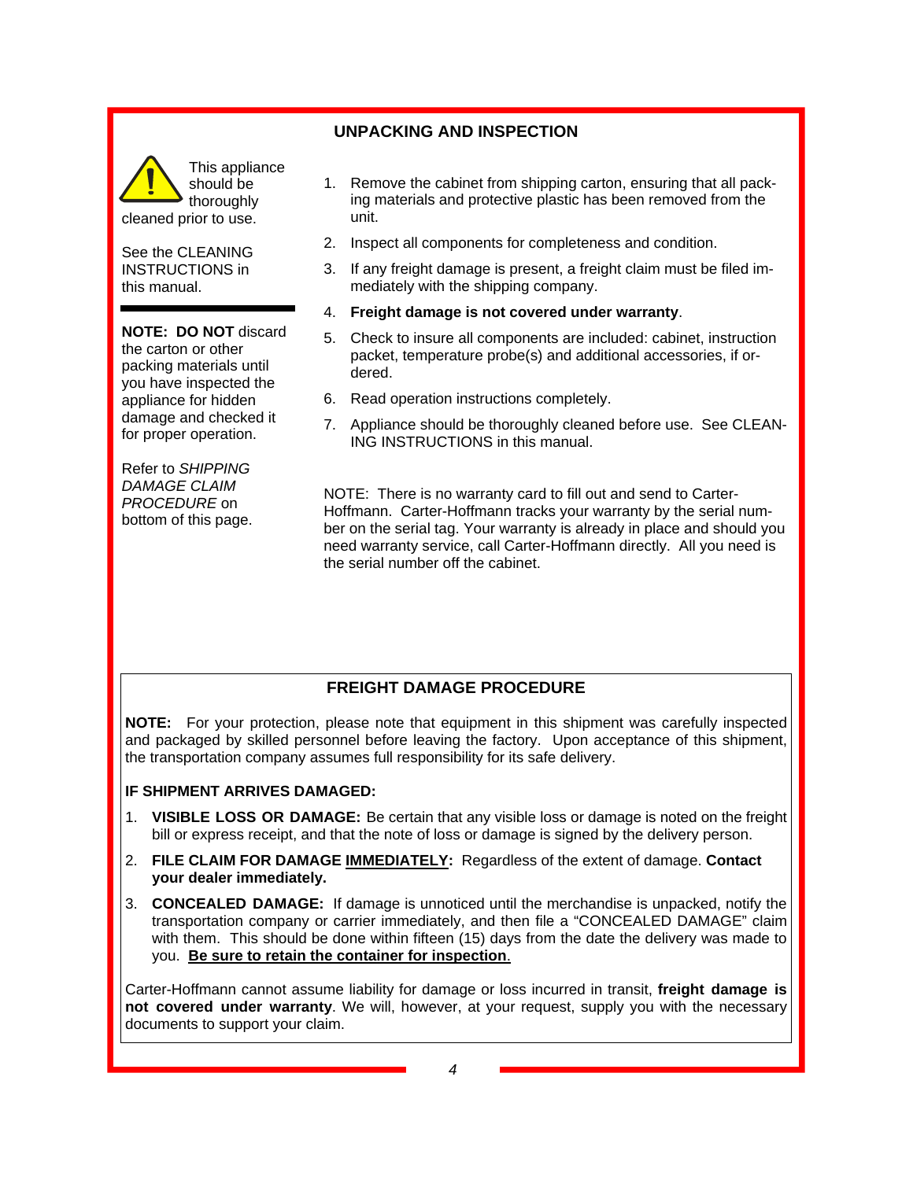

See the CLEANING INSTRUCTIONS in this manual.

#### **NOTE: DO NOT** discard

the carton or other packing materials until you have inspected the appliance for hidden damage and checked it for proper operation.

Refer to *SHIPPING DAMAGE CLAIM PROCEDURE* on bottom of this page.

#### **UNPACKING AND INSPECTION**

- 1. Remove the cabinet from shipping carton, ensuring that all packing materials and protective plastic has been removed from the unit.
- 2. Inspect all components for completeness and condition.
- 3. If any freight damage is present, a freight claim must be filed immediately with the shipping company.
- 4. **Freight damage is not covered under warranty**.
- 5. Check to insure all components are included: cabinet, instruction packet, temperature probe(s) and additional accessories, if ordered.
- 6. Read operation instructions completely.
- 7. Appliance should be thoroughly cleaned before use. See CLEAN-ING INSTRUCTIONS in this manual.

NOTE: There is no warranty card to fill out and send to Carter-Hoffmann. Carter-Hoffmann tracks your warranty by the serial number on the serial tag. Your warranty is already in place and should you need warranty service, call Carter-Hoffmann directly. All you need is the serial number off the cabinet.

## **FREIGHT DAMAGE PROCEDURE**

**NOTE:** For your protection, please note that equipment in this shipment was carefully inspected and packaged by skilled personnel before leaving the factory. Upon acceptance of this shipment, the transportation company assumes full responsibility for its safe delivery.

#### **IF SHIPMENT ARRIVES DAMAGED:**

- 1. **VISIBLE LOSS OR DAMAGE:** Be certain that any visible loss or damage is noted on the freight bill or express receipt, and that the note of loss or damage is signed by the delivery person.
- 2. **FILE CLAIM FOR DAMAGE IMMEDIATELY:** Regardless of the extent of damage. **Contact your dealer immediately.**
- 3. **CONCEALED DAMAGE:** If damage is unnoticed until the merchandise is unpacked, notify the transportation company or carrier immediately, and then file a "CONCEALED DAMAGE" claim with them. This should be done within fifteen (15) days from the date the delivery was made to you. **Be sure to retain the container for inspection**.

Carter-Hoffmann cannot assume liability for damage or loss incurred in transit, **freight damage is not covered under warranty**. We will, however, at your request, supply you with the necessary documents to support your claim.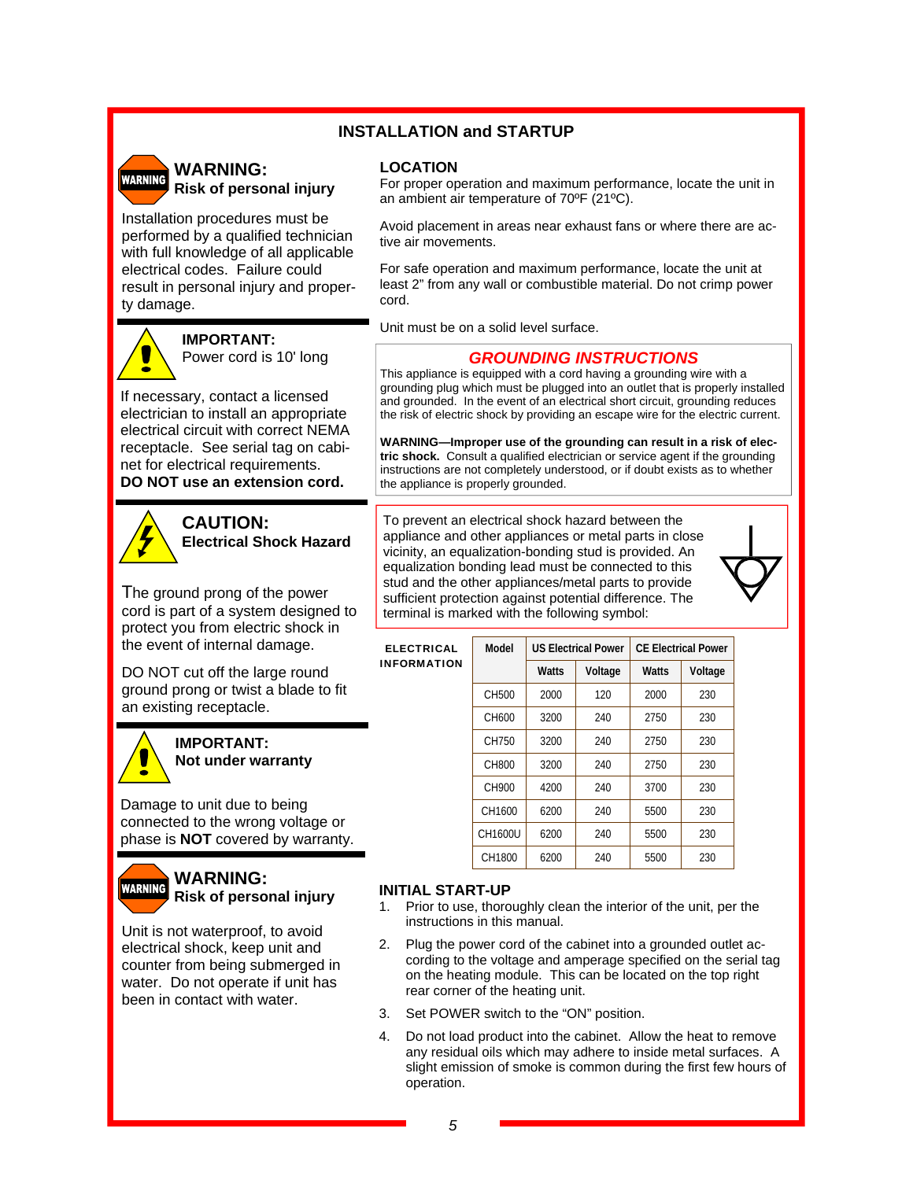### **INSTALLATION and STARTUP**

# **WARNING**

#### **WARNING: Risk of personal injury**

Installation procedures must be performed by a qualified technician with full knowledge of all applicable electrical codes. Failure could result in personal injury and property damage.



**IMPORTANT:**  Power cord is 10' long

If necessary, contact a licensed electrician to install an appropriate electrical circuit with correct NEMA receptacle. See serial tag on cabinet for electrical requirements. **DO NOT use an extension cord.** 



**CAUTION: Electrical Shock Hazard** 

The ground prong of the power cord is part of a system designed to protect you from electric shock in the event of internal damage.

DO NOT cut off the large round ground prong or twist a blade to fit an existing receptacle.



**IMPORTANT: Not under warranty** 

Damage to unit due to being connected to the wrong voltage or phase is **NOT** covered by warranty.



#### **WARNING: Risk of personal injury**

Unit is not waterproof, to avoid electrical shock, keep unit and counter from being submerged in water. Do not operate if unit has been in contact with water.

#### **LOCATION**

For proper operation and maximum performance, locate the unit in an ambient air temperature of 70ºF (21ºC).

Avoid placement in areas near exhaust fans or where there are active air movements.

For safe operation and maximum performance, locate the unit at least 2" from any wall or combustible material. Do not crimp power cord.

Unit must be on a solid level surface.

#### *GROUNDING INSTRUCTIONS*

This appliance is equipped with a cord having a grounding wire with a grounding plug which must be plugged into an outlet that is properly installed and grounded. In the event of an electrical short circuit, grounding reduces the risk of electric shock by providing an escape wire for the electric current.

**WARNING—Improper use of the grounding can result in a risk of electric shock.** Consult a qualified electrician or service agent if the grounding instructions are not completely understood, or if doubt exists as to whether the appliance is properly grounded.

To prevent an electrical shock hazard between the appliance and other appliances or metal parts in close vicinity, an equalization-bonding stud is provided. An equalization bonding lead must be connected to this stud and the other appliances/metal parts to provide sufficient protection against potential difference. The terminal is marked with the following symbol:



| <b>ELECTRICAL</b>  | Model   |              | <b>US Electrical Power</b> | <b>CE Electrical Power</b> |         |  |
|--------------------|---------|--------------|----------------------------|----------------------------|---------|--|
| <b>INFORMATION</b> |         | <b>Watts</b> | Voltage                    | <b>Watts</b>               | Voltage |  |
|                    | CH500   | 2000         | 120                        | 2000                       | 230     |  |
|                    | CH600   | 3200         | 240                        | 2750                       | 230     |  |
|                    | CH750   | 3200         | 240                        | 2750                       | 230     |  |
|                    | CH800   | 3200         | 240                        | 2750                       | 230     |  |
|                    | CH900   | 4200         | 240                        | 3700                       | 230     |  |
|                    | CH1600  | 6200         | 240                        | 5500                       | 230     |  |
|                    | CH1600U | 6200         | 240                        | 5500                       | 230     |  |
|                    | CH1800  | 6200         | 240                        | 5500                       | 230     |  |

#### **INITIAL START-UP**

- 1. Prior to use, thoroughly clean the interior of the unit, per the instructions in this manual.
- 2. Plug the power cord of the cabinet into a grounded outlet according to the voltage and amperage specified on the serial tag on the heating module. This can be located on the top right rear corner of the heating unit.
- 3. Set POWER switch to the "ON" position.
- 4. Do not load product into the cabinet. Allow the heat to remove any residual oils which may adhere to inside metal surfaces. A slight emission of smoke is common during the first few hours of operation.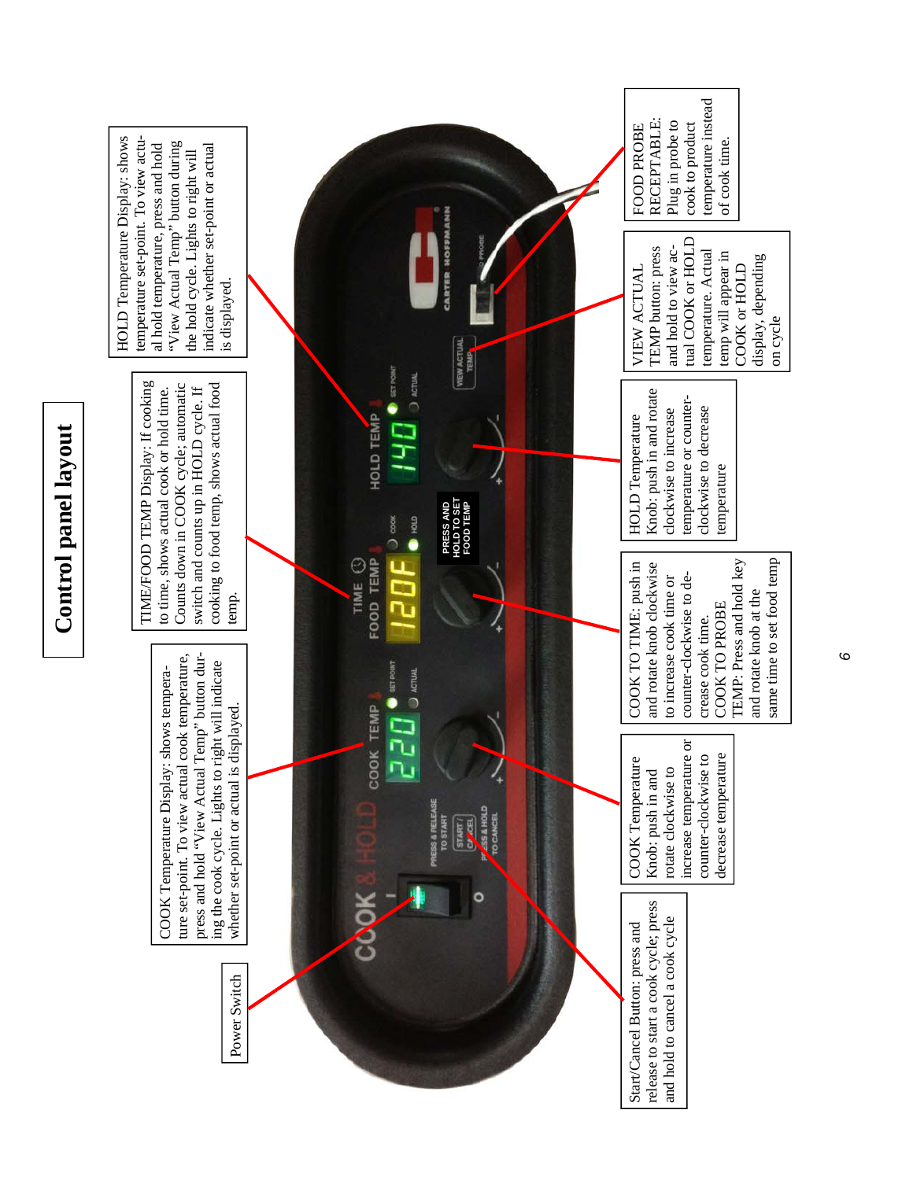

*6*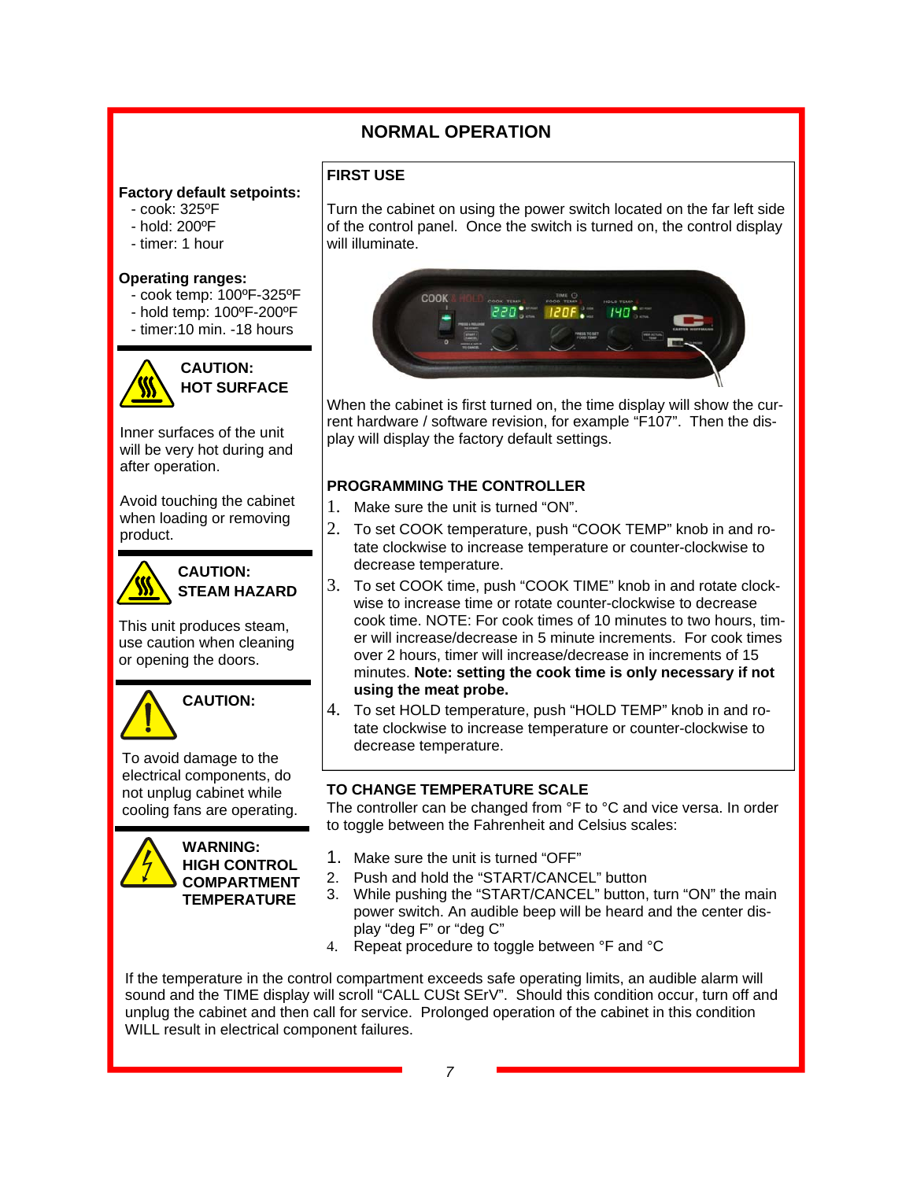## **NORMAL OPERATION**

**FIRST USE** 

## **Factory default setpoints:**

- cook: 325ºF
- hold: 200ºF
- timer: 1 hour

#### **Operating ranges:**

- cook temp: 100ºF-325ºF
- hold temp: 100ºF-200ºF
- timer:10 min. -18 hours



**CAUTION: HOT SURFACE** 

Inner surfaces of the unit will be very hot during and after operation.

Avoid touching the cabinet when loading or removing product.



#### **CAUTION: STEAM HAZARD**

This unit produces steam, use caution when cleaning or opening the doors.



To avoid damage to the electrical components, do not unplug cabinet while cooling fans are operating.



Turn the cabinet on using the power switch located on the far left side of the control panel. Once the switch is turned on, the control display will illuminate.



When the cabinet is first turned on, the time display will show the current hardware / software revision, for example "F107". Then the display will display the factory default settings.

### **PROGRAMMING THE CONTROLLER**

- 1. Make sure the unit is turned "ON".
- 2. To set COOK temperature, push "COOK TEMP" knob in and rotate clockwise to increase temperature or counter-clockwise to decrease temperature.
- 3. To set COOK time, push "COOK TIME" knob in and rotate clockwise to increase time or rotate counter-clockwise to decrease cook time. NOTE: For cook times of 10 minutes to two hours, timer will increase/decrease in 5 minute increments. For cook times over 2 hours, timer will increase/decrease in increments of 15 minutes. **Note: setting the cook time is only necessary if not using the meat probe.**
- 4. To set HOLD temperature, push "HOLD TEMP" knob in and rotate clockwise to increase temperature or counter-clockwise to decrease temperature.

### **TO CHANGE TEMPERATURE SCALE**

The controller can be changed from °F to °C and vice versa. In order to toggle between the Fahrenheit and Celsius scales:

- 1. Make sure the unit is turned "OFF"
- 2. Push and hold the "START/CANCEL" button
- 3. While pushing the "START/CANCEL" button, turn "ON" the main power switch. An audible beep will be heard and the center display "deg F" or "deg C"
- 4. Repeat procedure to toggle between °F and °C

If the temperature in the control compartment exceeds safe operating limits, an audible alarm will sound and the TIME display will scroll "CALL CUSt SErV". Should this condition occur, turn off and unplug the cabinet and then call for service. Prolonged operation of the cabinet in this condition WILL result in electrical component failures.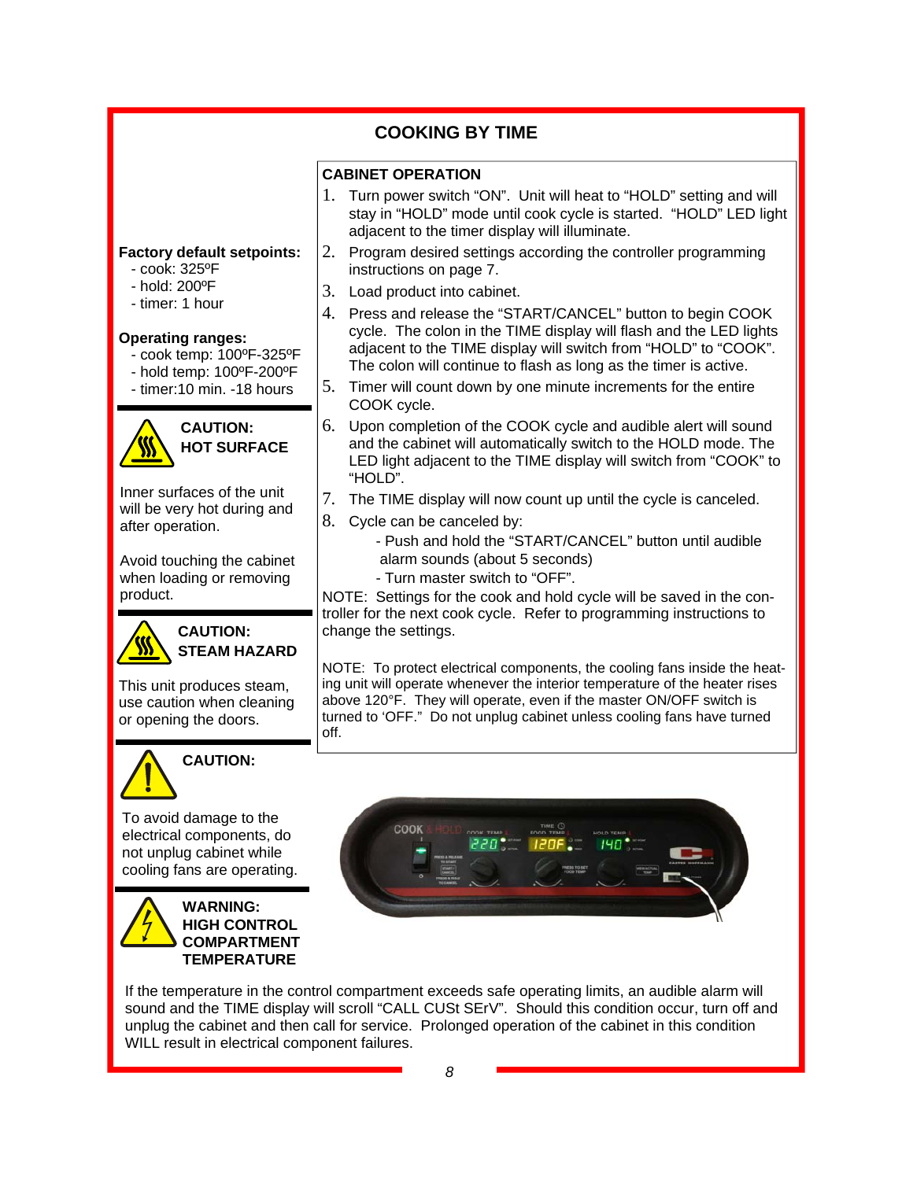**COOKING BY TIME CABINET OPERATION**  1. Turn power switch "ON". Unit will heat to "HOLD" setting and will stay in "HOLD" mode until cook cycle is started. "HOLD" LED light adjacent to the timer display will illuminate. 2. Program desired settings according the controller programming instructions on page 7. 3. Load product into cabinet. 4. Press and release the "START/CANCEL" button to begin COOK cycle. The colon in the TIME display will flash and the LED lights adjacent to the TIME display will switch from "HOLD" to "COOK". The colon will continue to flash as long as the timer is active. 5. Timer will count down by one minute increments for the entire COOK cycle. 6. Upon completion of the COOK cycle and audible alert will sound and the cabinet will automatically switch to the HOLD mode. The LED light adjacent to the TIME display will switch from "COOK" to "HOLD". 7. The TIME display will now count up until the cycle is canceled. 8. Cycle can be canceled by: - Push and hold the "START/CANCEL" button until audible alarm sounds (about 5 seconds) - Turn master switch to "OFF". NOTE: Settings for the cook and hold cycle will be saved in the controller for the next cook cycle. Refer to programming instructions to change the settings. NOTE: To protect electrical components, the cooling fans inside the heating unit will operate whenever the interior temperature of the heater rises above 120°F. They will operate, even if the master ON/OFF switch is turned to 'OFF." Do not unplug cabinet unless cooling fans have turned off. **Factory default setpoints:**  - cook: 325ºF - hold: 200ºF - timer: 1 hour **Operating ranges:**  - cook temp: 100ºF-325ºF - hold temp: 100ºF-200ºF - timer:10 min. -18 hours **CAUTION: HOT SURFACE**  Inner surfaces of the unit will be very hot during and after operation. Avoid touching the cabinet when loading or removing product. **CAUTION: STEAM HAZARD**  This unit produces steam, use caution when cleaning or opening the doors.



To avoid damage to the electrical components, do not unplug cabinet while cooling fans are operating.

**CAUTION:**





If the temperature in the control compartment exceeds safe operating limits, an audible alarm will sound and the TIME display will scroll "CALL CUSt SErV". Should this condition occur, turn off and unplug the cabinet and then call for service. Prolonged operation of the cabinet in this condition WILL result in electrical component failures.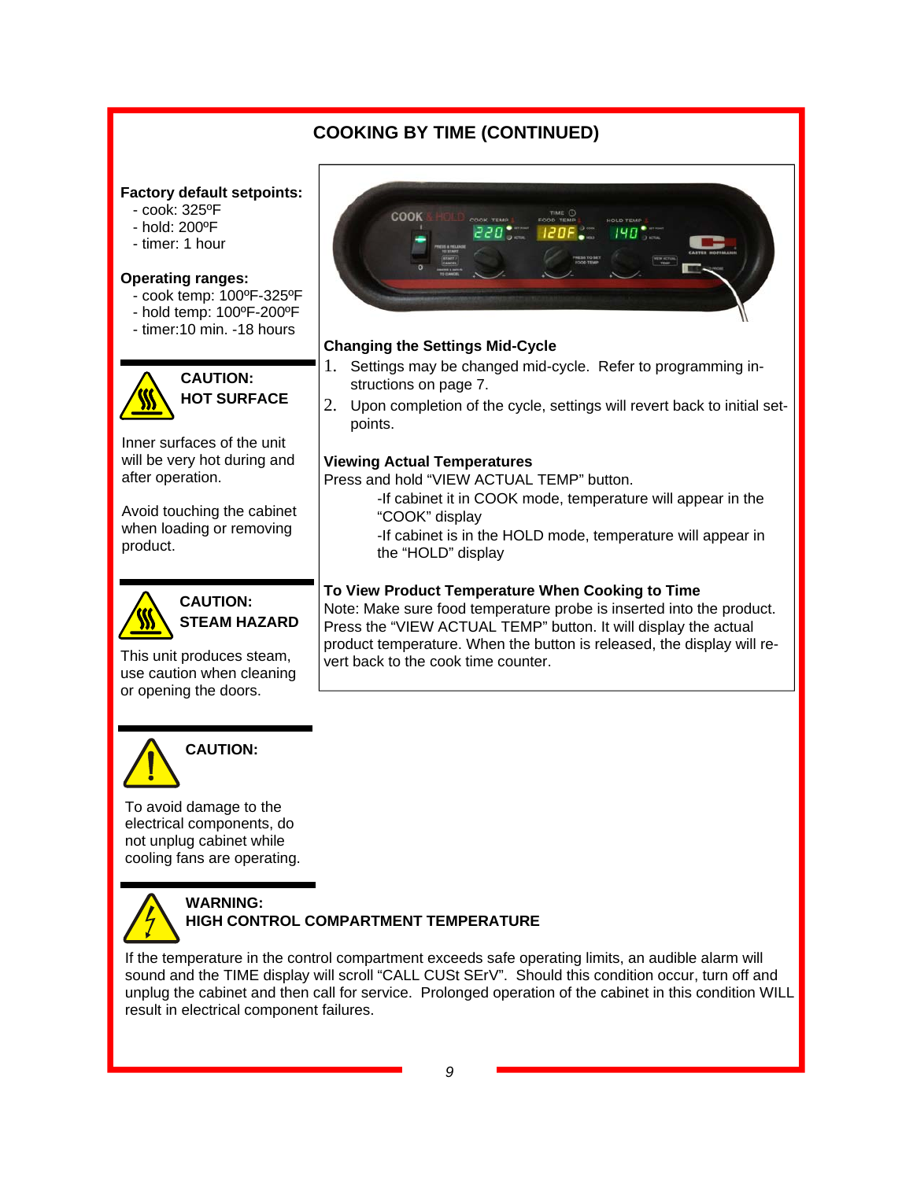# **COOKING BY TIME (CONTINUED)**

#### **Factory default setpoints:**

- cook: 325ºF
- hold: 200ºF
- timer: 1 hour

#### **Operating ranges:**

- cook temp: 100ºF-325ºF
- hold temp: 100ºF-200ºF
- timer:10 min. -18 hours



**CAUTION: HOT SURFACE** 

Inner surfaces of the unit will be very hot during and after operation.

Avoid touching the cabinet when loading or removing product.



**CAUTION: STEAM HAZARD** 

This unit produces steam, use caution when cleaning or opening the doors.



## **Changing the Settings Mid-Cycle**

- 1. Settings may be changed mid-cycle. Refer to programming instructions on page 7.
- 2. Upon completion of the cycle, settings will revert back to initial setpoints.

### **Viewing Actual Temperatures**

Press and hold "VIEW ACTUAL TEMP" button.

- -If cabinet it in COOK mode, temperature will appear in the "COOK" display
- -If cabinet is in the HOLD mode, temperature will appear in the "HOLD" display

## **To View Product Temperature When Cooking to Time**

Note: Make sure food temperature probe is inserted into the product. Press the "VIEW ACTUAL TEMP" button. It will display the actual product temperature. When the button is released, the display will revert back to the cook time counter.



To avoid damage to the electrical components, do not unplug cabinet while cooling fans are operating.



#### **WARNING: HIGH CONTROL COMPARTMENT TEMPERATURE**

If the temperature in the control compartment exceeds safe operating limits, an audible alarm will sound and the TIME display will scroll "CALL CUSt SErV". Should this condition occur, turn off and unplug the cabinet and then call for service. Prolonged operation of the cabinet in this condition WILL result in electrical component failures.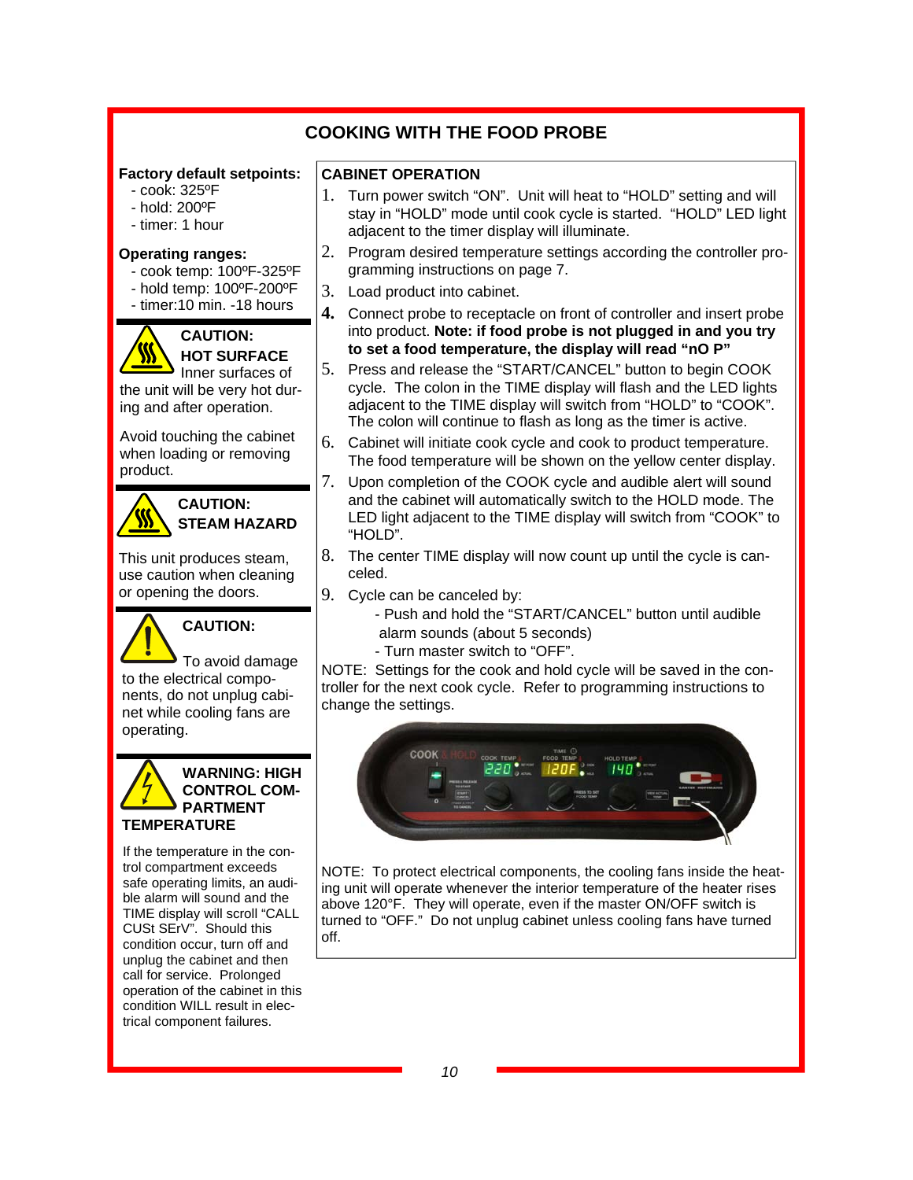## **COOKING WITH THE FOOD PROBE**

#### **Factory default setpoints:**

- cook: 325ºF
- hold: 200ºF
- timer: 1 hour

#### **Operating ranges:**

- cook temp: 100ºF-325ºF
- hold temp: 100ºF-200ºF
- timer:10 min. -18 hours



## **CAUTION: HOT SURFACE**

Inner surfaces of the unit will be very hot during and after operation.

Avoid touching the cabinet when loading or removing product.



### **CAUTION: STEAM HAZARD**

This unit produces steam, use caution when cleaning or opening the doors.



**CAUTION:**

To avoid damage to the electrical components, do not unplug cabinet while cooling fans are operating.

#### **WARNING: HIGH CONTROL COM-PARTMENT TEMPERATURE**

If the temperature in the control compartment exceeds safe operating limits, an audible alarm will sound and the TIME display will scroll "CALL CUSt SErV". Should this condition occur, turn off and unplug the cabinet and then call for service. Prolonged operation of the cabinet in this condition WILL result in electrical component failures.

#### **CABINET OPERATION**

- 1. Turn power switch "ON". Unit will heat to "HOLD" setting and will stay in "HOLD" mode until cook cycle is started. "HOLD" LED light adjacent to the timer display will illuminate.
- 2. Program desired temperature settings according the controller programming instructions on page 7.
- 3. Load product into cabinet.
- **4.** Connect probe to receptacle on front of controller and insert probe into product. **Note: if food probe is not plugged in and you try to set a food temperature, the display will read "nO P"**
- 5. Press and release the "START/CANCEL" button to begin COOK cycle. The colon in the TIME display will flash and the LED lights adjacent to the TIME display will switch from "HOLD" to "COOK". The colon will continue to flash as long as the timer is active.
- 6. Cabinet will initiate cook cycle and cook to product temperature. The food temperature will be shown on the yellow center display.
- 7. Upon completion of the COOK cycle and audible alert will sound and the cabinet will automatically switch to the HOLD mode. The LED light adjacent to the TIME display will switch from "COOK" to "HOLD".
- 8. The center TIME display will now count up until the cycle is canceled.
- 9. Cycle can be canceled by:
	- Push and hold the "START/CANCEL" button until audible alarm sounds (about 5 seconds)
	- Turn master switch to "OFF".

NOTE: Settings for the cook and hold cycle will be saved in the controller for the next cook cycle. Refer to programming instructions to change the settings.



NOTE: To protect electrical components, the cooling fans inside the heating unit will operate whenever the interior temperature of the heater rises above 120°F. They will operate, even if the master ON/OFF switch is turned to "OFF." Do not unplug cabinet unless cooling fans have turned off.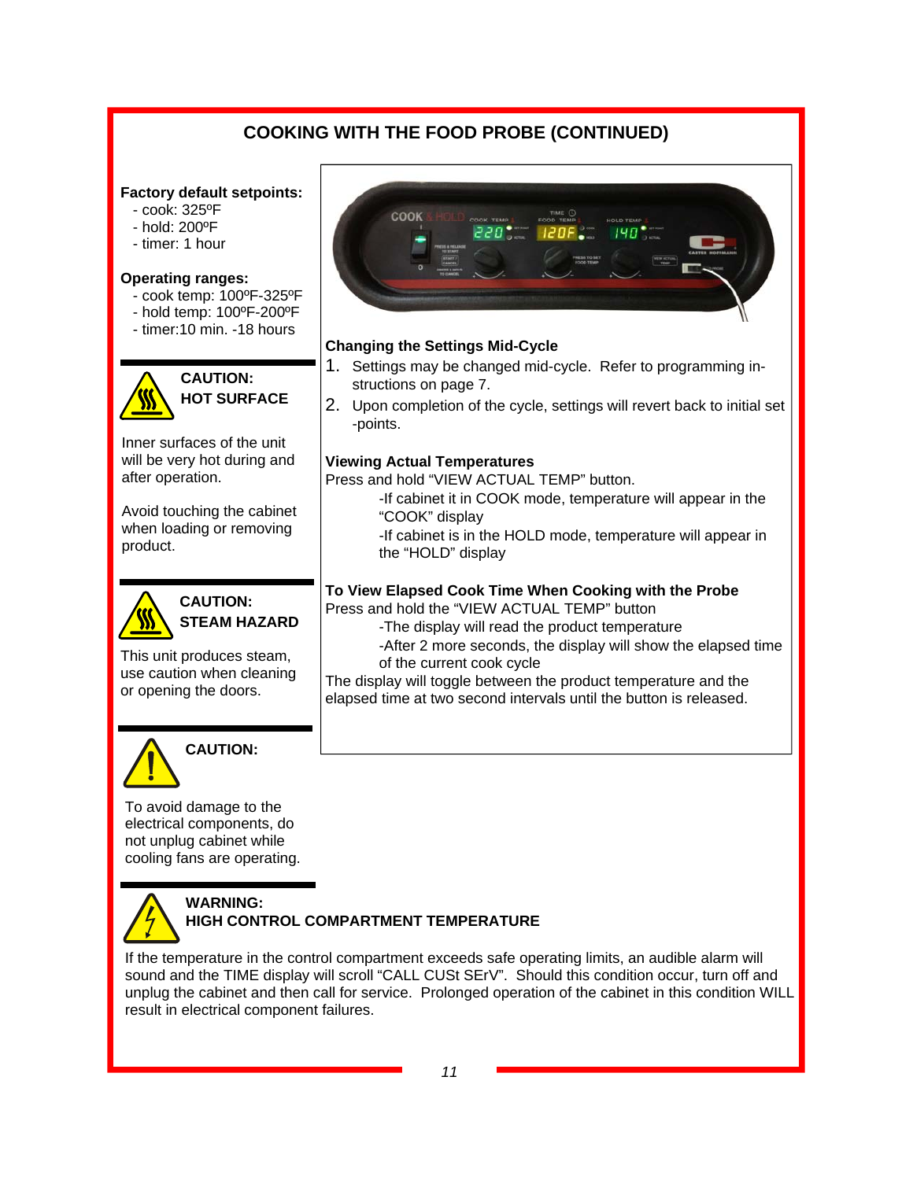# **COOKING WITH THE FOOD PROBE (CONTINUED)**

#### **Factory default setpoints:**

- cook: 325ºF
- hold: 200ºF
- timer: 1 hour

#### **Operating ranges:**

- cook temp: 100ºF-325ºF
- hold temp: 100ºF-200ºF
- timer:10 min. -18 hours



**CAUTION: HOT SURFACE** 

Inner surfaces of the unit will be very hot during and after operation.

Avoid touching the cabinet when loading or removing product.



**CAUTION: STEAM HAZARD** 

This unit produces steam, use caution when cleaning or opening the doors.



**CAUTION:**

To avoid damage to the electrical components, do not unplug cabinet while cooling fans are operating.



#### **WARNING: HIGH CONTROL COMPARTMENT TEMPERATURE**

If the temperature in the control compartment exceeds safe operating limits, an audible alarm will sound and the TIME display will scroll "CALL CUSt SErV". Should this condition occur, turn off and unplug the cabinet and then call for service. Prolonged operation of the cabinet in this condition WILL result in electrical component failures.



#### **Changing the Settings Mid-Cycle**

- 1. Settings may be changed mid-cycle. Refer to programming instructions on page 7.
- 2. Upon completion of the cycle, settings will revert back to initial set -points.

#### **Viewing Actual Temperatures**

Press and hold "VIEW ACTUAL TEMP" button.

- -If cabinet it in COOK mode, temperature will appear in the "COOK" display
- -If cabinet is in the HOLD mode, temperature will appear in the "HOLD" display

# **To View Elapsed Cook Time When Cooking with the Probe**

Press and hold the "VIEW ACTUAL TEMP" button

- -The display will read the product temperature
- -After 2 more seconds, the display will show the elapsed time of the current cook cycle

The display will toggle between the product temperature and the elapsed time at two second intervals until the button is released.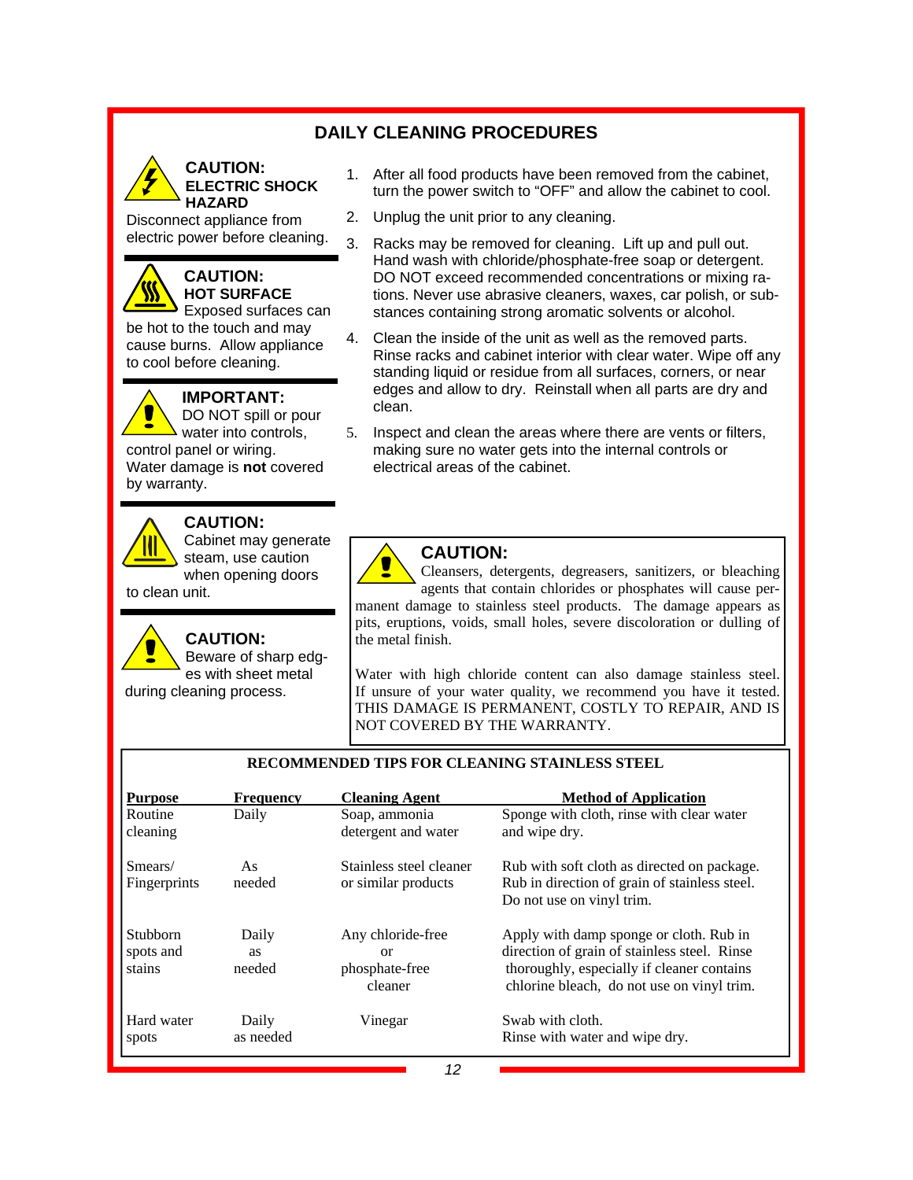## **DAILY CLEANING PROCEDURES**



**ELECTRIC SHOCK HAZARD** 

Disconnect appliance from electric power before cleaning.

## **CAUTION: HOT SURFACE**

Exposed surfaces can be hot to the touch and may cause burns. Allow appliance to cool before cleaning.

#### **IMPORTANT:**



DO NOT spill or pour water into controls, control panel or wiring. Water damage is **not** covered by warranty.



#### **CAUTION:**

Cabinet may generate steam, use caution when opening doors to clean unit.



**CAUTION:**  Beware of sharp edges with sheet metal

during cleaning process.

- 1. After all food products have been removed from the cabinet, turn the power switch to "OFF" and allow the cabinet to cool.
- 2. Unplug the unit prior to any cleaning.
- 3. Racks may be removed for cleaning. Lift up and pull out. Hand wash with chloride/phosphate-free soap or detergent. DO NOT exceed recommended concentrations or mixing rations. Never use abrasive cleaners, waxes, car polish, or substances containing strong aromatic solvents or alcohol.
- 4. Clean the inside of the unit as well as the removed parts. Rinse racks and cabinet interior with clear water. Wipe off any standing liquid or residue from all surfaces, corners, or near edges and allow to dry. Reinstall when all parts are dry and clean.
- 5. Inspect and clean the areas where there are vents or filters, making sure no water gets into the internal controls or electrical areas of the cabinet.



#### **CAUTION:**

Cleansers, detergents, degreasers, sanitizers, or bleaching agents that contain chlorides or phosphates will cause permanent damage to stainless steel products. The damage appears as pits, eruptions, voids, small holes, severe discoloration or dulling of the metal finish.

Water with high chloride content can also damage stainless steel. If unsure of your water quality, we recommend you have it tested. THIS DAMAGE IS PERMANENT, COSTLY TO REPAIR, AND IS NOT COVERED BY THE WARRANTY.

| <b>Purpose</b>                         | <b>Frequency</b>             | <b>Cleaning Agent</b>                                | <b>Method of Application</b>                                                                                                                                                        |
|----------------------------------------|------------------------------|------------------------------------------------------|-------------------------------------------------------------------------------------------------------------------------------------------------------------------------------------|
| Routine<br>cleaning                    | Daily                        | Soap, ammonia<br>detergent and water                 | Sponge with cloth, rinse with clear water<br>and wipe dry.                                                                                                                          |
| Smears/<br>Fingerprints                | As<br>needed                 | Stainless steel cleaner<br>or similar products       | Rub with soft cloth as directed on package.<br>Rub in direction of grain of stainless steel.<br>Do not use on vinyl trim.                                                           |
| <b>Stubborn</b><br>spots and<br>stains | Daily<br><b>as</b><br>needed | Any chloride-free<br>or<br>phosphate-free<br>cleaner | Apply with damp sponge or cloth. Rub in<br>direction of grain of stainless steel. Rinse<br>thoroughly, especially if cleaner contains<br>chlorine bleach, do not use on vinyl trim. |
| Hard water<br>spots                    | Daily<br>as needed           | Vinegar                                              | Swab with cloth.<br>Rinse with water and wipe dry.                                                                                                                                  |

#### **RECOMMENDED TIPS FOR CLEANING STAINLESS STEEL**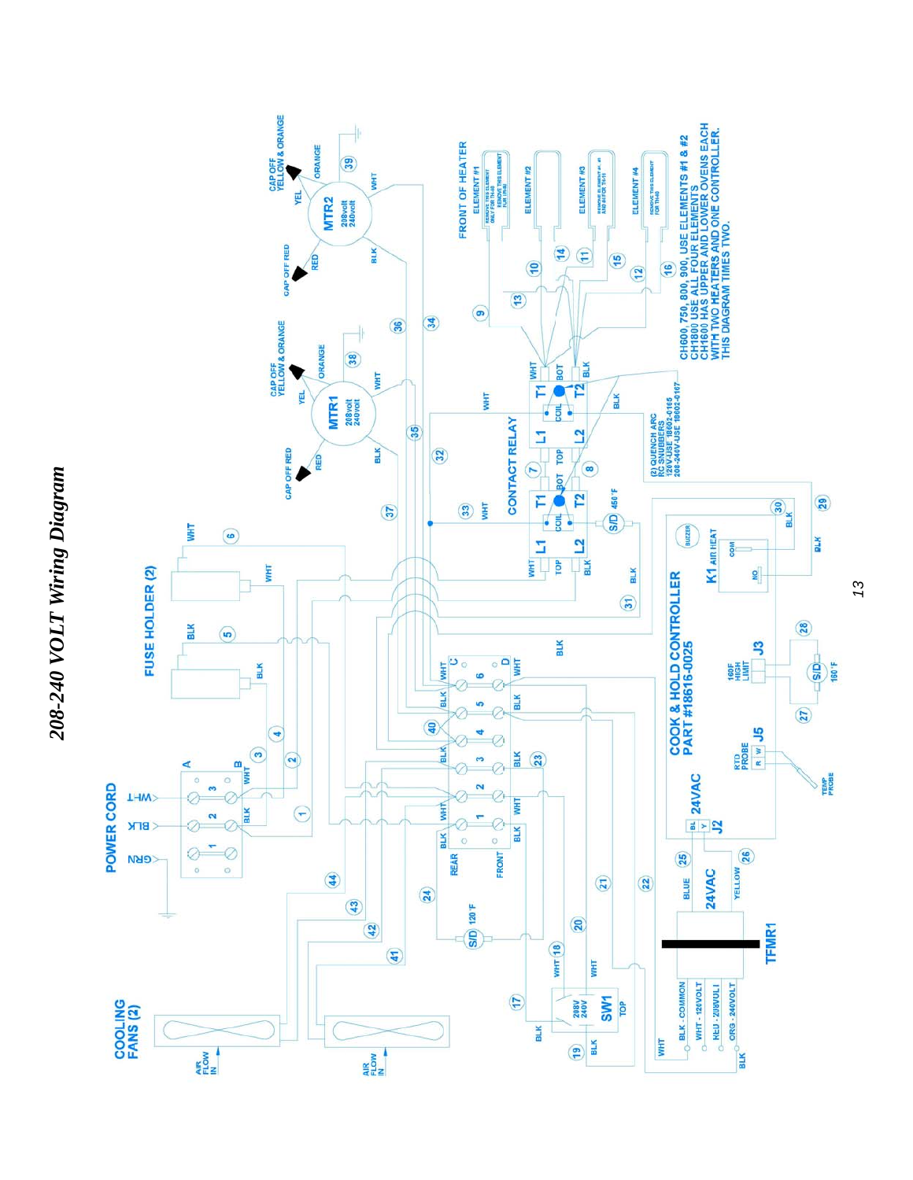



*13*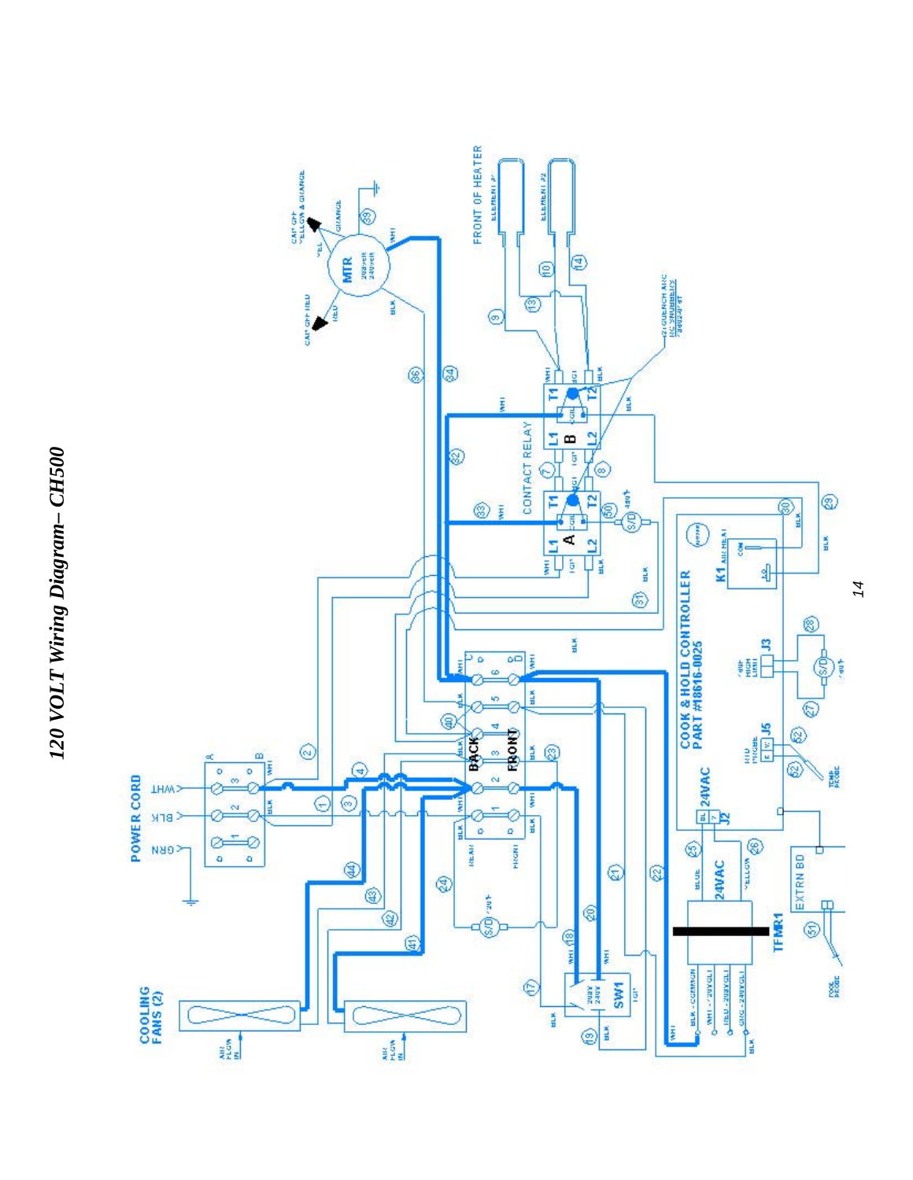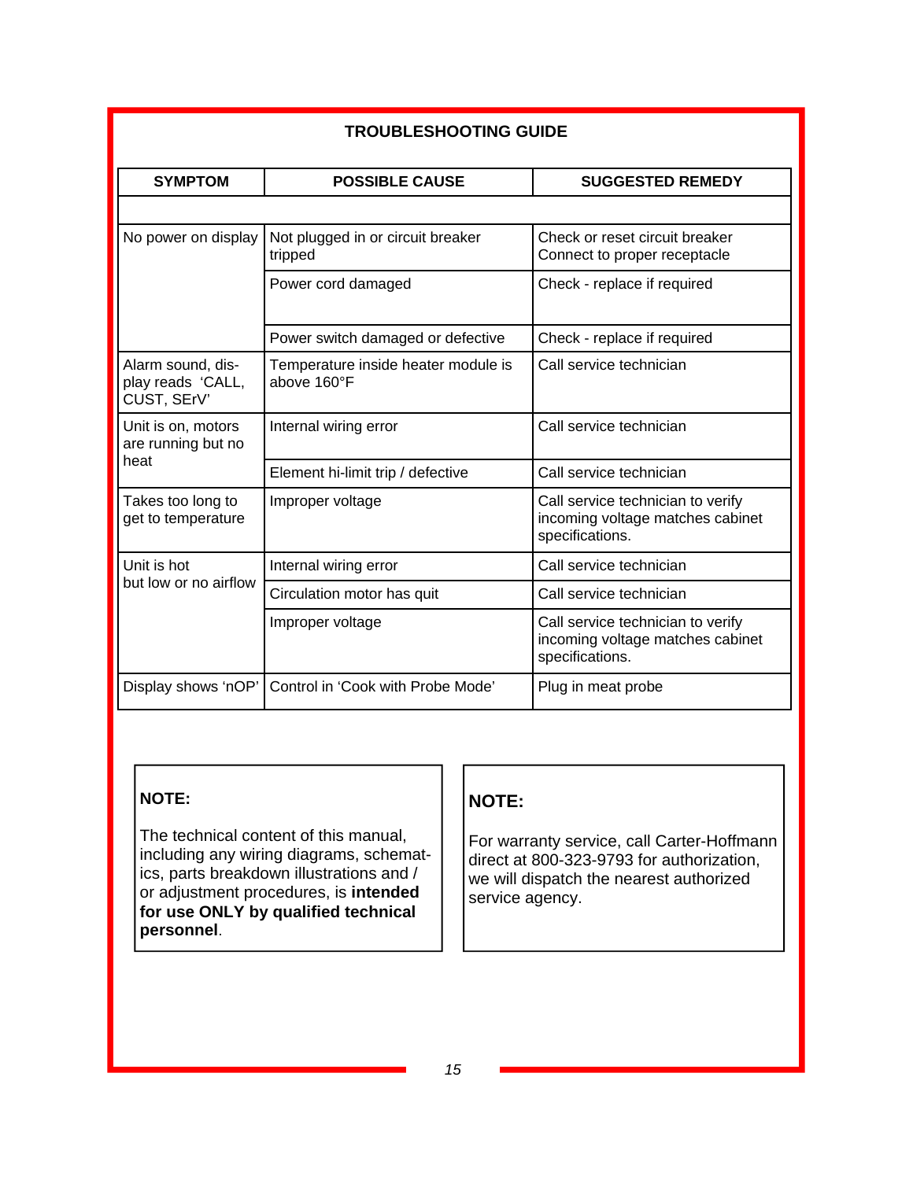|                                                       | <b>TROUBLESHOOTING GUIDE</b>                       |                                                                                          |  |  |  |
|-------------------------------------------------------|----------------------------------------------------|------------------------------------------------------------------------------------------|--|--|--|
| <b>SYMPTOM</b>                                        | <b>POSSIBLE CAUSE</b>                              | <b>SUGGESTED REMEDY</b>                                                                  |  |  |  |
|                                                       |                                                    |                                                                                          |  |  |  |
| No power on display                                   | Not plugged in or circuit breaker<br>tripped       | Check or reset circuit breaker<br>Connect to proper receptacle                           |  |  |  |
|                                                       | Power cord damaged                                 | Check - replace if required                                                              |  |  |  |
|                                                       | Power switch damaged or defective                  | Check - replace if required                                                              |  |  |  |
| Alarm sound, dis-<br>play reads 'CALL,<br>CUST, SErV' | Temperature inside heater module is<br>above 160°F | Call service technician                                                                  |  |  |  |
| Unit is on, motors<br>are running but no              | Internal wiring error                              | Call service technician                                                                  |  |  |  |
| heat                                                  | Element hi-limit trip / defective                  | Call service technician                                                                  |  |  |  |
| Takes too long to<br>get to temperature               | Improper voltage                                   | Call service technician to verify<br>incoming voltage matches cabinet<br>specifications. |  |  |  |
| Unit is hot                                           | Internal wiring error                              | Call service technician                                                                  |  |  |  |
| but low or no airflow                                 | Circulation motor has quit                         | Call service technician                                                                  |  |  |  |
|                                                       | Improper voltage                                   | Call service technician to verify<br>incoming voltage matches cabinet<br>specifications. |  |  |  |
| Display shows 'nOP'                                   | Control in 'Cook with Probe Mode'                  | Plug in meat probe                                                                       |  |  |  |

# **NOTE:**

The technical content of this manual, including any wiring diagrams, schematics, parts breakdown illustrations and / or adjustment procedures, is **intended for use ONLY by qualified technical personnel**.

# **NOTE:**

For warranty service, call Carter-Hoffmann direct at 800-323-9793 for authorization, we will dispatch the nearest authorized service agency.